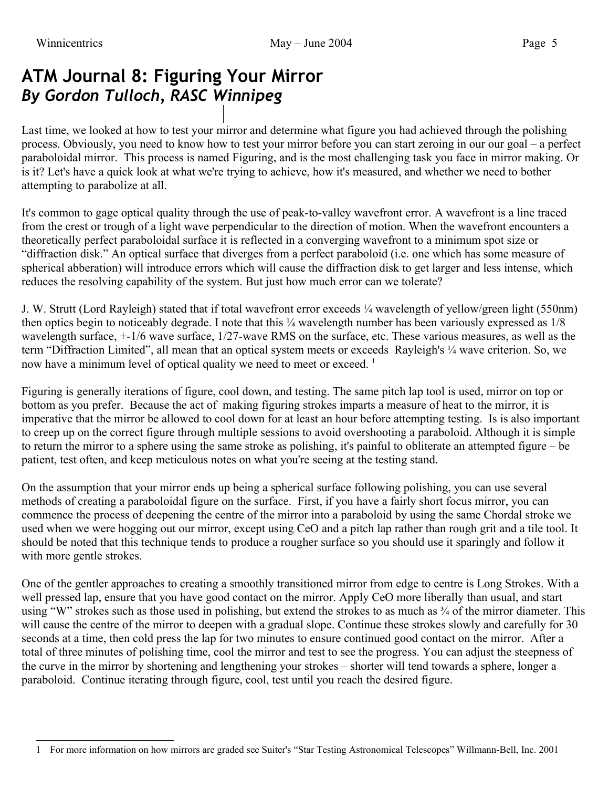# **ATM Journal 8: Figuring Your Mirror** *By Gordon Tulloch, RASC Winnipeg*

Last time, we looked at how to test your mirror and determine what figure you had achieved through the polishing process. Obviously, you need to know how to test your mirror before you can start zeroing in our our goal – a perfect paraboloidal mirror. This process is named Figuring, and is the most challenging task you face in mirror making. Or is it? Let's have a quick look at what we're trying to achieve, how it's measured, and whether we need to bother attempting to parabolize at all.

It's common to gage optical quality through the use of peak-to-valley wavefront error. A wavefront is a line traced from the crest or trough of a light wave perpendicular to the direction of motion. When the wavefront encounters a theoretically perfect paraboloidal surface it is reflected in a converging wavefront to a minimum spot size or "diffraction disk." An optical surface that diverges from a perfect paraboloid (i.e. one which has some measure of spherical abberation) will introduce errors which will cause the diffraction disk to get larger and less intense, which reduces the resolving capability of the system. But just how much error can we tolerate?

J. W. Strutt (Lord Rayleigh) stated that if total wavefront error exceeds ¼ wavelength of yellow/green light (550nm) then optics begin to noticeably degrade. I note that this ¼ wavelength number has been variously expressed as  $1/8$ wavelength surface, +-1/6 wave surface, 1/27-wave RMS on the surface, etc. These various measures, as well as the term "Diffraction Limited", all mean that an optical system meets or exceeds Rayleigh's ¼ wave criterion. So, we now have a minimum level of optical quality we need to meet or exceed.<sup>[1](#page-0-0)</sup>

Figuring is generally iterations of figure, cool down, and testing. The same pitch lap tool is used, mirror on top or bottom as you prefer. Because the act of making figuring strokes imparts a measure of heat to the mirror, it is imperative that the mirror be allowed to cool down for at least an hour before attempting testing. Is is also important to creep up on the correct figure through multiple sessions to avoid overshooting a paraboloid. Although it is simple to return the mirror to a sphere using the same stroke as polishing, it's painful to obliterate an attempted figure – be patient, test often, and keep meticulous notes on what you're seeing at the testing stand.

On the assumption that your mirror ends up being a spherical surface following polishing, you can use several methods of creating a paraboloidal figure on the surface. First, if you have a fairly short focus mirror, you can commence the process of deepening the centre of the mirror into a paraboloid by using the same Chordal stroke we used when we were hogging out our mirror, except using CeO and a pitch lap rather than rough grit and a tile tool. It should be noted that this technique tends to produce a rougher surface so you should use it sparingly and follow it with more gentle strokes.

One of the gentler approaches to creating a smoothly transitioned mirror from edge to centre is Long Strokes. With a well pressed lap, ensure that you have good contact on the mirror. Apply CeO more liberally than usual, and start using "W" strokes such as those used in polishing, but extend the strokes to as much as  $\frac{3}{4}$  of the mirror diameter. This will cause the centre of the mirror to deepen with a gradual slope. Continue these strokes slowly and carefully for 30 seconds at a time, then cold press the lap for two minutes to ensure continued good contact on the mirror. After a total of three minutes of polishing time, cool the mirror and test to see the progress. You can adjust the steepness of the curve in the mirror by shortening and lengthening your strokes – shorter will tend towards a sphere, longer a paraboloid. Continue iterating through figure, cool, test until you reach the desired figure.

<span id="page-0-0"></span><sup>1</sup> For more information on how mirrors are graded see Suiter's "Star Testing Astronomical Telescopes" Willmann-Bell, Inc. 2001